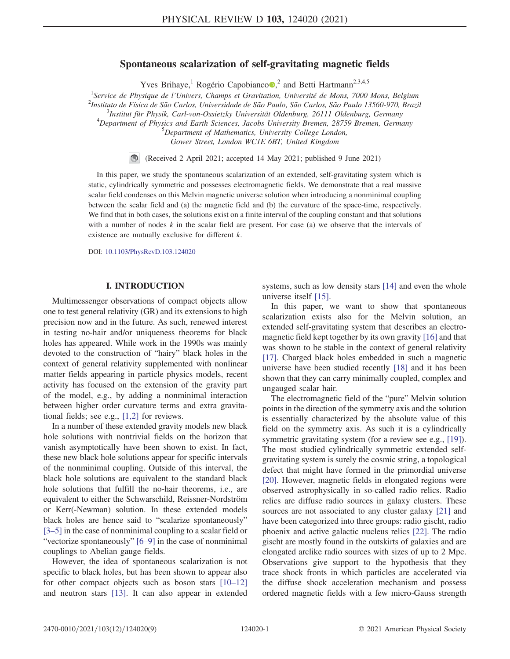# Spontaneous scalarization of self-gravitating magnetic fields

Yves Brihaye,<sup>1</sup> Rogério Capobianco<sup>®</sup>,<sup>2</sup> and Betti Hartmann<sup>2,3,4,5</sup>

<sup>1</sup> Service de Physique de l'Univers, Champs et Gravitation, Université de Mons, 7000 Mons, Belgium<br><sup>2</sup>Instituto de Eísias de São Carlos, Universidade de São Paulo, São Carlos, São Paulo, 12560,070, Presi  $^{2}$ Instituto de Física de São Carlos, Universidade de São Paulo, São Carlos, São Paulo 13560-970, Brazil  $3$ Institut für Physik, Carl-von-Ossietzky Universität Oldenburg, 26111 Oldenburg, Germany  $^{4}$ Department of Physics and Earth Sciences, Jacobs University Bremen, 28759 Bremen, Germany  ${}^{5}$ Department of Mathematics, University College London,

Gower Street, London WC1E 6BT, United Kingdom

(Received 2 April 2021; accepted 14 May 2021; published 9 June 2021)

In this paper, we study the spontaneous scalarization of an extended, self-gravitating system which is static, cylindrically symmetric and possesses electromagnetic fields. We demonstrate that a real massive scalar field condenses on this Melvin magnetic universe solution when introducing a nonminimal coupling between the scalar field and (a) the magnetic field and (b) the curvature of the space-time, respectively. We find that in both cases, the solutions exist on a finite interval of the coupling constant and that solutions with a number of nodes  $k$  in the scalar field are present. For case (a) we observe that the intervals of existence are mutually exclusive for different k.

DOI: [10.1103/PhysRevD.103.124020](https://doi.org/10.1103/PhysRevD.103.124020)

# I. INTRODUCTION

Multimessenger observations of compact objects allow one to test general relativity (GR) and its extensions to high precision now and in the future. As such, renewed interest in testing no-hair and/or uniqueness theorems for black holes has appeared. While work in the 1990s was mainly devoted to the construction of "hairy" black holes in the context of general relativity supplemented with nonlinear matter fields appearing in particle physics models, recent activity has focused on the extension of the gravity part of the model, e.g., by adding a nonminimal interaction between higher order curvature terms and extra gravitational fields; see e.g., [\[1,2\]](#page-7-0) for reviews.

In a number of these extended gravity models new black hole solutions with nontrivial fields on the horizon that vanish asymptotically have been shown to exist. In fact, these new black hole solutions appear for specific intervals of the nonminimal coupling. Outside of this interval, the black hole solutions are equivalent to the standard black hole solutions that fulfill the no-hair theorems, i.e., are equivalent to either the Schwarschild, Reissner-Nordström or Kerr(-Newman) solution. In these extended models black holes are hence said to "scalarize spontaneously" [\[3](#page-7-1)–5] in the case of nonminimal coupling to a scalar field or "vectorize spontaneously" [\[6](#page-7-2)–9] in the case of nonminimal couplings to Abelian gauge fields.

However, the idea of spontaneous scalarization is not specific to black holes, but has been shown to appear also for other compact objects such as boson stars [\[10](#page-8-0)–12] and neutron stars [\[13\]](#page-8-1). It can also appear in extended systems, such as low density stars [\[14\]](#page-8-2) and even the whole universe itself [\[15\].](#page-8-3)

In this paper, we want to show that spontaneous scalarization exists also for the Melvin solution, an extended self-gravitating system that describes an electromagnetic field kept together by its own gravity [\[16\]](#page-8-4) and that was shown to be stable in the context of general relativity [\[17\]](#page-8-5). Charged black holes embedded in such a magnetic universe have been studied recently [\[18\]](#page-8-6) and it has been shown that they can carry minimally coupled, complex and ungauged scalar hair.

The electromagnetic field of the "pure" Melvin solution points in the direction of the symmetry axis and the solution is essentially characterized by the absolute value of this field on the symmetry axis. As such it is a cylindrically symmetric gravitating system (for a review see e.g., [\[19\]](#page-8-7)). The most studied cylindrically symmetric extended selfgravitating system is surely the cosmic string, a topological defect that might have formed in the primordial universe [\[20\]](#page-8-8). However, magnetic fields in elongated regions were observed astrophysically in so-called radio relics. Radio relics are diffuse radio sources in galaxy clusters. These sources are not associated to any cluster galaxy [\[21\]](#page-8-9) and have been categorized into three groups: radio gischt, radio phoenix and active galactic nucleus relics [\[22\].](#page-8-10) The radio gischt are mostly found in the outskirts of galaxies and are elongated arclike radio sources with sizes of up to 2 Mpc. Observations give support to the hypothesis that they trace shock fronts in which particles are accelerated via the diffuse shock acceleration mechanism and possess ordered magnetic fields with a few micro-Gauss strength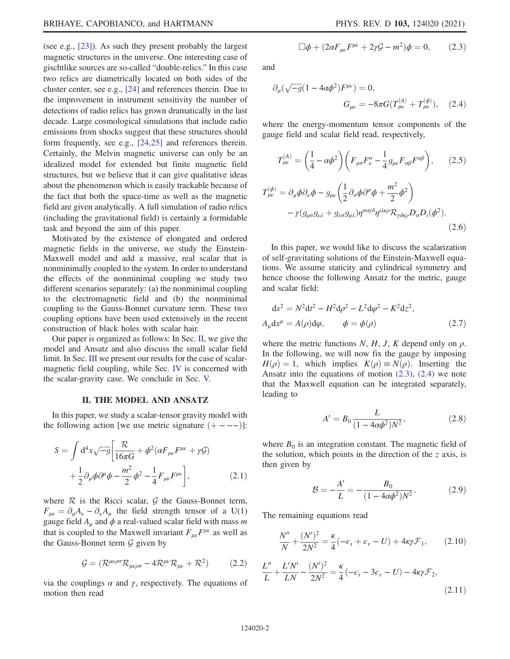(see e.g., [\[23\]\)](#page-8-11). As such they present probably the largest magnetic structures in the universe. One interesting case of gischtlike sources are so-called "double-relics." In this case two relics are diametrically located on both sides of the cluster center, see e.g., [\[24\]](#page-8-12) and references therein. Due to the improvement in instrument sensitivity the number of detections of radio relics has grown dramatically in the last decade. Large cosmological simulations that include radio emissions from shocks suggest that these structures should form frequently, see e.g., [\[24,25\]](#page-8-12) and references therein. Certainly, the Melvin magnetic universe can only be an idealized model for extended but finite magnetic field structures, but we believe that it can give qualitative ideas about the phenomenon which is easily trackable because of the fact that both the space-time as well as the magnetic field are given analytically. A full simulation of radio relics (including the gravitational field) is certainly a formidable task and beyond the aim of this paper.

Motivated by the existence of elongated and ordered magnetic fields in the universe, we study the Einstein-Maxwell model and add a massive, real scalar that is nonminimally coupled to the system. In order to understand the effects of the nonminimal coupling we study two different scenarios separately: (a) the nonminimal coupling to the electromagnetic field and (b) the nonminimal coupling to the Gauss-Bonnet curvature term. These two coupling options have been used extensively in the recent construction of black holes with scalar hair.

Our paper is organized as follows: In Sec. [II,](#page-1-0) we give the model and Ansatz and also discuss the small scalar field limit. In Sec. [III](#page-3-0) we present our results for the case of scalarmagnetic field coupling, while Sec. [IV](#page-4-0) is concerned with the scalar-gravity case. We conclude in Sec. [V.](#page-6-0)

#### II. THE MODEL AND ANSATZ

<span id="page-1-0"></span>In this paper, we study a scalar-tensor gravity model with the following action [we use metric signature  $(+ - - -)$ ]:

$$
S = \int d^4x \sqrt{-g} \left[ \frac{\mathcal{R}}{16\pi G} + \phi^2 (\alpha F_{\mu\nu} F^{\mu\nu} + \gamma \mathcal{G}) + \frac{1}{2} \partial_\mu \phi \partial^\mu \phi - \frac{m^2}{2} \phi^2 - \frac{1}{4} F_{\mu\nu} F^{\mu\nu} \right],
$$
 (2.1)

where  $R$  is the Ricci scalar,  $G$  the Gauss-Bonnet term,  $F_{\mu\nu} = \partial_{\mu}A_{\nu} - \partial_{\nu}A_{\mu}$  the field strength tensor of a U(1) gauge field  $A_{\mu}$  and  $\phi$  a real-valued scalar field with mass m that is coupled to the Maxwell invariant  $F_{\mu\nu}F^{\mu\nu}$  as well as the Gauss-Bonnet term  $G$  given by

$$
\mathcal{G} = (\mathcal{R}^{\mu\nu\rho\sigma}\mathcal{R}_{\mu\nu\rho\sigma} - 4\mathcal{R}^{\mu\nu}\mathcal{R}_{\mu\nu} + \mathcal{R}^2) \tag{2.2}
$$

<span id="page-1-1"></span>via the couplings  $\alpha$  and  $\gamma$ , respectively. The equations of motion then read

$$
\Box \phi + (2\alpha F_{\mu\nu} F^{\mu\nu} + 2\gamma \mathcal{G} - m^2) \phi = 0, \qquad (2.3)
$$

<span id="page-1-2"></span>and

$$
\partial_{\mu}(\sqrt{-g}(1 - 4\alpha\phi^2)F^{\mu\nu}) = 0,
$$
  

$$
G_{\mu\nu} = -8\pi G(T^{(A)}_{\mu\nu} + T^{(\phi)}_{\mu\nu}), \quad (2.4)
$$

where the energy-momentum tensor components of the gauge field and scalar field read, respectively,

$$
T_{\mu\nu}^{(A)} = \left(\frac{1}{4} - \alpha \phi^2\right) \left(F_{\mu\sigma} F_{\nu}^{\sigma} - \frac{1}{4} g_{\mu\nu} F_{\alpha\beta} F^{\alpha\beta}\right), \qquad (2.5)
$$

$$
T_{\mu\nu}^{(\phi)} = \partial_{\mu} \phi \partial_{\nu} \phi - g_{\mu\nu} \left(\frac{1}{2} \partial_{\sigma} \phi \partial^{\sigma} \phi + \frac{m^2}{2} \phi^2\right)
$$

$$
- \gamma (g_{\mu\sigma} g_{\nu\lambda} + g_{\nu\sigma} g_{\mu\lambda}) \eta^{\sigma \alpha \gamma \delta} \eta^{\nu\lambda \kappa \rho} R_{\gamma \delta \kappa \rho} D_{\alpha} D_{\iota} (\phi^2).
$$
(2.6)

In this paper, we would like to discuss the scalarization of self-gravitating solutions of the Einstein-Maxwell equations. We assume staticity and cylindrical symmetry and hence choose the following Ansatz for the metric, gauge and scalar field:

$$
ds^{2} = N^{2}dt^{2} - H^{2}d\rho^{2} - L^{2}d\varphi^{2} - K^{2}dz^{2},
$$
  
\n
$$
A_{\mu}dx^{\mu} = A(\rho)d\varphi, \qquad \phi = \phi(\rho)
$$
 (2.7)

where the metric functions  $N$ ,  $H$ ,  $J$ ,  $K$  depend only on  $\rho$ . In the following, we will now fix the gauge by imposing  $H(\rho) = 1$ , which implies  $K(\rho) \equiv N(\rho)$ . Inserting the Ansatz into the equations of motion  $(2.3)$ ,  $(2.4)$  we note that the Maxwell equation can be integrated separately, leading to

$$
A' = B_0 \frac{L}{(1 - 4\alpha \phi^2) N^2},
$$
\n(2.8)

<span id="page-1-5"></span>where  $B_0$  is an integration constant. The magnetic field of the solution, which points in the direction of the  $\zeta$  axis, is then given by

$$
\mathcal{B} = -\frac{A'}{L} = -\frac{B_0}{(1 - 4\alpha\phi^2)N^2}.
$$
 (2.9)

<span id="page-1-3"></span>The remaining equations read

$$
\frac{N''}{N} + \frac{(N')^2}{2N^2} = \frac{\kappa}{4}(-\epsilon_s + \epsilon_v - U) + 4\kappa\gamma\mathcal{F}_1, \qquad (2.10)
$$

<span id="page-1-4"></span>
$$
\frac{L''}{L} + \frac{L'N'}{LN} - \frac{(N')^2}{2N^2} = \frac{\kappa}{4}(-\epsilon_s - 3\epsilon_v - U) - 4\kappa\gamma\mathcal{F}_2,
$$
\n(2.11)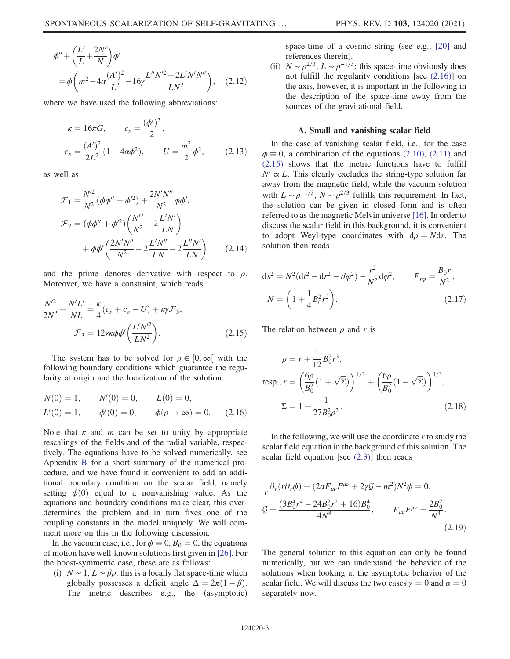<span id="page-2-3"></span>
$$
\phi'' + \left(\frac{L'}{L} + \frac{2N'}{N}\right)\phi'
$$
  
=  $\phi \left(m^2 - 4\alpha \frac{(A')^2}{L^2} - 16\gamma \frac{L''N'^2 + 2L'N'N''}{LN^2}\right)$ , (2.12)

where we have used the following abbreviations:

$$
\kappa = 16\pi G, \qquad \epsilon_s = \frac{(\phi')^2}{2},
$$
  

$$
\epsilon_v = \frac{(A')^2}{2L^2} (1 - 4\alpha \phi^2), \qquad U = \frac{m^2}{2} \phi^2, \qquad (2.13)
$$

as well as

$$
\mathcal{F}_1 = \frac{N^2}{N^2} (\phi \phi'' + \phi'^2) + \frac{2N'N''}{N^2} \phi \phi',
$$
  
\n
$$
\mathcal{F}_2 = (\phi \phi'' + \phi'^2) \left( \frac{N'^2}{N^2} - 2 \frac{L'N'}{LN} \right)
$$
  
\n
$$
+ \phi \phi' \left( \frac{2N'N''}{N^2} - 2 \frac{L'N''}{LN} - 2 \frac{L''N'}{LN} \right) \qquad (2.14)
$$

<span id="page-2-1"></span>and the prime denotes derivative with respect to  $\rho$ . Moreover, we have a constraint, which reads

$$
\frac{N^{\prime 2}}{2N^2} + \frac{N^{\prime}L^{\prime}}{NL} = \frac{\kappa}{4} (\epsilon_s + \epsilon_v - U) + \kappa \gamma \mathcal{F}_3,
$$
  

$$
\mathcal{F}_3 = 12 \gamma \kappa \phi \phi^{\prime} \left( \frac{L^{\prime} N^{\prime 2}}{LN^2} \right).
$$
 (2.15)

<span id="page-2-0"></span>The system has to be solved for  $\rho \in [0, \infty]$  with the following boundary conditions which guarantee the regularity at origin and the localization of the solution:

$$
N(0) = 1,
$$
  $N'(0) = 0,$   $L(0) = 0,$   
\n $L'(0) = 1,$   $\phi'(0) = 0,$   $\phi(\rho \to \infty) = 0.$  (2.16)

Note that  $\kappa$  and  $m$  can be set to unity by appropriate rescalings of the fields and of the radial variable, respectively. The equations have to be solved numerically, see Appendix [B](#page-7-3) for a short summary of the numerical procedure, and we have found it convenient to add an additional boundary condition on the scalar field, namely setting  $\phi(0)$  equal to a nonvanishing value. As the equations and boundary conditions make clear, this overdetermines the problem and in turn fixes one of the coupling constants in the model uniquely. We will comment more on this in the following discussion.

In the vacuum case, i.e., for  $\phi \equiv 0$ ,  $B_0 = 0$ , the equations of motion have well-known solutions first given in [\[26\].](#page-8-13) For the boost-symmetric case, these are as follows:

(i)  $N \sim 1, L \sim \beta \rho$ : this is a locally flat space-time which globally possesses a deficit angle  $\Delta = 2\pi(1 - \beta)$ . The metric describes e.g., the (asymptotic) space-time of a cosmic string (see e.g., [\[20\]](#page-8-8) and references therein).

(ii)  $N \sim \rho^{2/3}$ ,  $L \sim \rho^{-1/3}$ : this space-time obviously does not fulfill the regularity conditions [see [\(2.16\)](#page-2-0)] on the axis, however, it is important in the following in the description of the space-time away from the sources of the gravitational field.

#### A. Small and vanishing scalar field

In the case of vanishing scalar field, i.e., for the case  $\phi = 0$ , a combination of the equations [\(2.10\)](#page-1-3), [\(2.11\)](#page-1-4) and [\(2.15\)](#page-2-1) shows that the metric functions have to fulfill  $N' \propto L$ . This clearly excludes the string-type solution far away from the magnetic field, while the vacuum solution with  $L \sim \rho^{-1/3}$ ,  $N \sim \rho^{2/3}$  fulfills this requirement. In fact, the solution can be given in closed form and is often referred to as the magnetic Melvin universe [\[16\]](#page-8-4). In order to discuss the scalar field in this background, it is convenient to adopt Weyl-type coordinates with  $d\rho = Ndr$ . The solution then reads

$$
ds^{2} = N^{2}(dt^{2} - dr^{2} - d\varphi^{2}) - \frac{r^{2}}{N^{2}}d\varphi^{2}, \qquad F_{r\varphi} = \frac{B_{0}r}{N^{2}},
$$

$$
N = \left(1 + \frac{1}{4}B_{0}^{2}r^{2}\right).
$$
(2.17)

The relation between  $\rho$  and r is

$$
\rho = r + \frac{1}{12} B_0^2 r^3,
$$
  
resp.,  $r = \left(\frac{6\rho}{B_0^2} (1 + \sqrt{\Sigma})\right)^{1/3} + \left(\frac{6\rho}{B_0^2} (1 - \sqrt{\Sigma})\right)^{1/3},$   
 $\Sigma = 1 + \frac{1}{27B_0^2\rho^2}.$  (2.18)

<span id="page-2-2"></span>In the following, we will use the coordinate  $r$  to study the scalar field equation in the background of this solution. The scalar field equation [see [\(2.3\)\]](#page-1-1) then reads

$$
\frac{1}{r}\partial_r(r\partial_r\phi) + (2\alpha F_{\mu\nu}F^{\mu\nu} + 2\gamma\mathcal{G} - m^2)N^2\phi = 0,
$$
\n
$$
\mathcal{G} = \frac{(3B_0^4r^4 - 24B_0^2r^2 + 16)B_0^4}{4N^8}, \qquad F_{\mu\nu}F^{\mu\nu} = \frac{2B_0^2}{N^4}.
$$
\n(2.19)

The general solution to this equation can only be found numerically, but we can understand the behavior of the solutions when looking at the asymptotic behavior of the scalar field. We will discuss the two cases  $\gamma = 0$  and  $\alpha = 0$ separately now.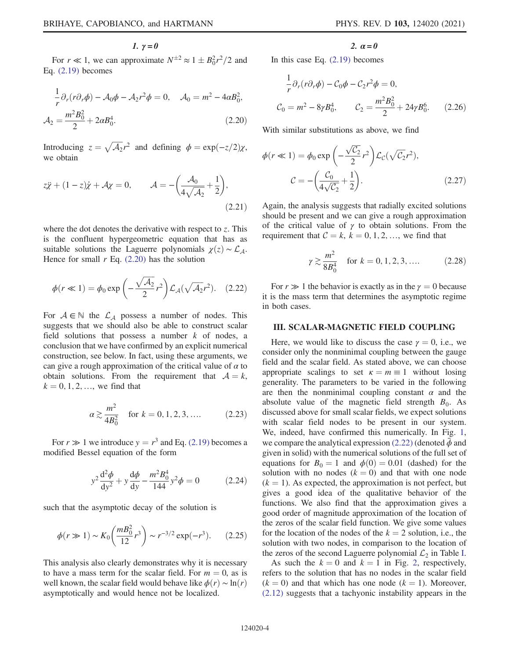$1. \gamma = 0$ 

<span id="page-3-1"></span>For  $r \ll 1$ , we can approximate  $N^{\pm 2} \approx 1 \pm B_0^2 r^2 / 2$  and Eq. [\(2.19\)](#page-2-2) becomes

$$
\frac{1}{r}\partial_r(r\partial_r\phi) - \mathcal{A}_0\phi - \mathcal{A}_2r^2\phi = 0, \quad \mathcal{A}_0 = m^2 - 4\alpha B_0^2,
$$
  

$$
\mathcal{A}_2 = \frac{m^2 B_0^2}{2} + 2\alpha B_0^4.
$$
 (2.20)

<span id="page-3-4"></span>Introducing  $z = \sqrt{A_2}r^2$  and defining  $\phi = \exp(-z/2)\chi$ , we obtain

$$
z\ddot{x} + (1 - z)\dot{x} + \mathcal{A}\chi = 0, \qquad \mathcal{A} = -\left(\frac{\mathcal{A}_0}{4\sqrt{\mathcal{A}_2}} + \frac{1}{2}\right),\tag{2.21}
$$

<span id="page-3-2"></span>where the dot denotes the derivative with respect to  $z$ . This is the confluent hypergeometric equation that has as suitable solutions the Laguerre polynomials  $\chi(z) \sim \mathcal{L}_4$ . Hence for small  $r$  Eq. [\(2.20\)](#page-3-1) has the solution

$$
\phi(r \ll 1) = \phi_0 \exp\left(-\frac{\sqrt{\mathcal{A}_2}}{2}r^2\right) \mathcal{L}_{\mathcal{A}}(\sqrt{\mathcal{A}_2}r^2). \quad (2.22)
$$

<span id="page-3-3"></span>For  $A \in \mathbb{N}$  the  $\mathcal{L}_A$  possess a number of nodes. This suggests that we should also be able to construct scalar field solutions that possess a number  $k$  of nodes, a conclusion that we have confirmed by an explicit numerical construction, see below. In fact, using these arguments, we can give a rough approximation of the critical value of  $\alpha$  to obtain solutions. From the requirement that  $A = k$ ,  $k = 0, 1, 2, \dots$ , we find that

$$
\alpha \gtrsim \frac{m^2}{4B_0^2} \quad \text{for } k = 0, 1, 2, 3, \dots \tag{2.23}
$$

For  $r \gg 1$  we introduce  $y = r^3$  and Eq. [\(2.19\)](#page-2-2) becomes a modified Bessel equation of the form

$$
y^{2} \frac{d^{2} \phi}{dy^{2}} + y \frac{d \phi}{dy} - \frac{m^{2} B_{0}^{4}}{144} y^{2} \phi = 0
$$
 (2.24)

such that the asymptotic decay of the solution is

$$
\phi(r \gg 1) \sim K_0 \left(\frac{mB_0^2}{12}r^3\right) \sim r^{-3/2} \exp(-r^3). \tag{2.25}
$$

This analysis also clearly demonstrates why it is necessary to have a mass term for the scalar field. For  $m = 0$ , as is well known, the scalar field would behave like  $\phi(r) \sim \ln(r)$ asymptotically and would hence not be localized.

2.  $\alpha = 0$ 

In this case Eq. [\(2.19\)](#page-2-2) becomes

$$
\frac{1}{r}\partial_r(r\partial_r\phi) - C_0\phi - C_2r^2\phi = 0,
$$
  

$$
C_0 = m^2 - 8\gamma B_0^4, \qquad C_2 = \frac{m^2 B_0^2}{2} + 24\gamma B_0^6. \qquad (2.26)
$$

With similar substitutions as above, we find

$$
\phi(r \ll 1) = \phi_0 \exp\left(-\frac{\sqrt{C_2}}{2}r^2\right) \mathcal{L}_{\mathcal{C}}(\sqrt{C_2}r^2),
$$

$$
\mathcal{C} = -\left(\frac{C_0}{4\sqrt{C_2}} + \frac{1}{2}\right). \tag{2.27}
$$

Again, the analysis suggests that radially excited solutions should be present and we can give a rough approximation of the critical value of  $\gamma$  to obtain solutions. From the requirement that  $C = k$ ,  $k = 0, 1, 2, \dots$ , we find that

$$
\gamma \gtrsim \frac{m^2}{8B_0^4}
$$
 for  $k = 0, 1, 2, 3, ...$  (2.28)

For  $r \gg 1$  the behavior is exactly as in the  $\gamma = 0$  because it is the mass term that determines the asymptotic regime in both cases.

#### <span id="page-3-0"></span>III. SCALAR-MAGNETIC FIELD COUPLING

Here, we would like to discuss the case  $\gamma = 0$ , i.e., we consider only the nonminimal coupling between the gauge field and the scalar field. As stated above, we can choose appropriate scalings to set  $\kappa = m \equiv 1$  without losing generality. The parameters to be varied in the following are then the nonminimal coupling constant  $\alpha$  and the absolute value of the magnetic field strength  $B_0$ . As discussed above for small scalar fields, we expect solutions with scalar field nodes to be present in our system. We, indeed, have confirmed this numerically. In Fig. [1](#page-4-1), we compare the analytical expression [\(2.22\)](#page-3-2) (denoted  $\bar{\phi}$  and given in solid) with the numerical solutions of the full set of equations for  $B_0 = 1$  and  $\phi(0) = 0.01$  (dashed) for the solution with no nodes  $(k = 0)$  and that with one node  $(k = 1)$ . As expected, the approximation is not perfect, but gives a good idea of the qualitative behavior of the functions. We also find that the approximation gives a good order of magnitude approximation of the location of the zeros of the scalar field function. We give some values for the location of the nodes of the  $k = 2$  solution, i.e., the solution with two nodes, in comparison to the location of the zeros of the second Laguerre polynomial  $\mathcal{L}_2$  in Table [I](#page-4-2).

As such the  $k = 0$  and  $k = 1$  in Fig. [2,](#page-5-0) respectively, refers to the solution that has no nodes in the scalar field  $(k = 0)$  and that which has one node  $(k = 1)$ . Moreover, [\(2.12\)](#page-2-3) suggests that a tachyonic instability appears in the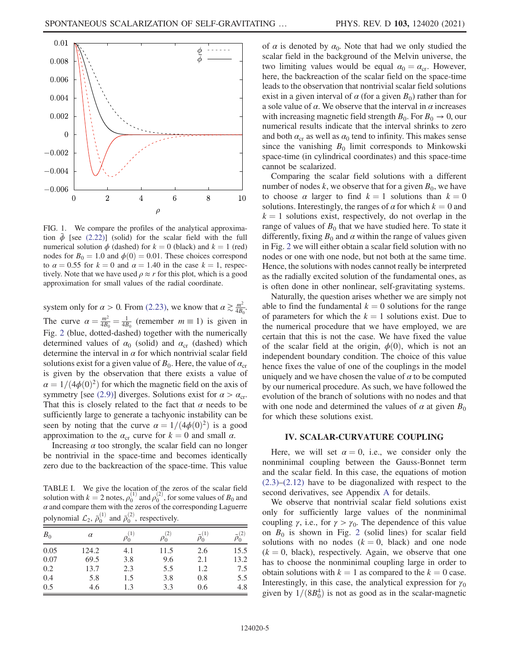<span id="page-4-1"></span>

FIG. 1. We compare the profiles of the analytical approximation  $\bar{\phi}$  [see [\(2.22\)\]](#page-3-2) (solid) for the scalar field with the full numerical solution  $\phi$  (dashed) for  $k = 0$  (black) and  $k = 1$  (red) nodes for  $B_0 = 1.0$  and  $\phi(0) = 0.01$ . These choices correspond to  $\alpha = 0.55$  for  $k = 0$  and  $\alpha = 1.40$  in the case  $k = 1$ , respectively. Note that we have used  $\rho \approx r$  for this plot, which is a good approximation for small values of the radial coordinate.

system only for  $\alpha > 0$ . From [\(2.23\),](#page-3-3) we know that  $\alpha \gtrsim \frac{m^2}{4B_0}$ . The curve  $\alpha = \frac{m^2}{4B_0} = \frac{1}{4B_0}$  (remember  $m \equiv 1$ ) is given in Fig. [2](#page-5-0) (blue, dotted-dashed) together with the numerically determined values of  $\alpha_0$  (solid) and  $\alpha_{cr}$  (dashed) which determine the interval in  $\alpha$  for which nontrivial scalar field solutions exist for a given value of  $B_0$ . Here, the value of  $\alpha_{cr}$ is given by the observation that there exists a value of  $\alpha = 1/(4\phi(0)^2)$  for which the magnetic field on the axis of symmetry [see [\(2.9\)](#page-1-5)] diverges. Solutions exist for  $\alpha > \alpha_{cr}$ . That this is closely related to the fact that  $\alpha$  needs to be sufficiently large to generate a tachyonic instability can be seen by noting that the curve  $\alpha = 1/(4\phi(0)^2)$  is a good approximation to the  $\alpha_{cr}$  curve for  $k = 0$  and small  $\alpha$ .

Increasing  $\alpha$  too strongly, the scalar field can no longer be nontrivial in the space-time and becomes identically zero due to the backreaction of the space-time. This value

<span id="page-4-2"></span>TABLE I. We give the location of the zeros of the scalar field solution with  $k = 2$  notes,  $\rho_0^{(1)}$  and  $\rho_0^{(2)}$ , for some values of  $B_0$  and  $\alpha$  and compare them with the zeros of the corresponding Laguerre polynomial  $\mathcal{L}_2$ ,  $\bar{\rho}_0^{(1)}$  and  $\bar{\rho}_0^{(2)}$ , respectively.

| $B_0$ | $\alpha$ | (1)<br>$\rho_0$ | $\rho_0$ | $\bar{\rho}_0^{(1)}$ |      |
|-------|----------|-----------------|----------|----------------------|------|
| 0.05  | 124.2    | 4.1             | 11.5     | 2.6                  | 15.5 |
| 0.07  | 69.5     | 3.8             | 9.6      | 2.1                  | 13.2 |
| 0.2   | 13.7     | 2.3             | 5.5      | 1.2                  | 7.5  |
| 0.4   | 5.8      | 1.5             | 3.8      | 0.8                  | 5.5  |
| 0.5   | 4.6      | 1.3             | 3.3      | 0.6                  | 4.8  |

of  $\alpha$  is denoted by  $\alpha_0$ . Note that had we only studied the scalar field in the background of the Melvin universe, the two limiting values would be equal  $\alpha_0 = \alpha_{cr}$ . However, here, the backreaction of the scalar field on the space-time leads to the observation that nontrivial scalar field solutions exist in a given interval of  $\alpha$  (for a given  $B_0$ ) rather than for a sole value of  $\alpha$ . We observe that the interval in  $\alpha$  increases with increasing magnetic field strength  $B_0$ . For  $B_0 \rightarrow 0$ , our numerical results indicate that the interval shrinks to zero and both  $\alpha_{cr}$  as well as  $\alpha_0$  tend to infinity. This makes sense since the vanishing  $B_0$  limit corresponds to Minkowski space-time (in cylindrical coordinates) and this space-time cannot be scalarized.

Comparing the scalar field solutions with a different number of nodes k, we observe that for a given  $B_0$ , we have to choose  $\alpha$  larger to find  $k = 1$  solutions than  $k = 0$ solutions. Interestingly, the ranges of  $\alpha$  for which  $k = 0$  and  $k = 1$  solutions exist, respectively, do not overlap in the range of values of  $B_0$  that we have studied here. To state it differently, fixing  $B_0$  and  $\alpha$  within the range of values given in Fig. [2](#page-5-0) we will either obtain a scalar field solution with no nodes or one with one node, but not both at the same time. Hence, the solutions with nodes cannot really be interpreted as the radially excited solution of the fundamental ones, as is often done in other nonlinear, self-gravitating systems.

Naturally, the question arises whether we are simply not able to find the fundamental  $k = 0$  solutions for the range of parameters for which the  $k = 1$  solutions exist. Due to the numerical procedure that we have employed, we are certain that this is not the case. We have fixed the value of the scalar field at the origin,  $\phi(0)$ , which is not an independent boundary condition. The choice of this value hence fixes the value of one of the couplings in the model uniquely and we have chosen the value of  $\alpha$  to be computed by our numerical procedure. As such, we have followed the evolution of the branch of solutions with no nodes and that with one node and determined the values of  $\alpha$  at given  $B_0$ for which these solutions exist.

### IV. SCALAR-CURVATURE COUPLING

<span id="page-4-0"></span>Here, we will set  $\alpha = 0$ , i.e., we consider only the nonminimal coupling between the Gauss-Bonnet term and the scalar field. In this case, the equations of motion [\(2.3\)](#page-1-1)–[\(2.12\)](#page-2-3) have to be diagonalized with respect to the second derivatives, see Appendix [A](#page-7-4) for details.

We observe that nontrivial scalar field solutions exist only for sufficiently large values of the nonminimal coupling  $\gamma$ , i.e., for  $\gamma > \gamma_0$ . The dependence of this value on  $B_0$  is shown in Fig. [2](#page-5-0) (solid lines) for scalar field solutions with no nodes  $(k = 0, \text{ black})$  and one node  $(k = 0, \text{ black})$ , respectively. Again, we observe that one has to choose the nonminimal coupling large in order to obtain solutions with  $k = 1$  as compared to the  $k = 0$  case. Interestingly, in this case, the analytical expression for  $\gamma_0$ given by  $1/(8B_0^4)$  is not as good as in the scalar-magnetic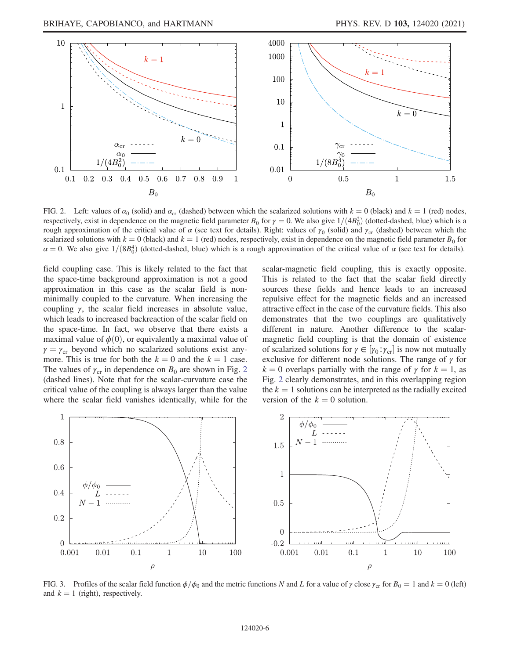<span id="page-5-0"></span>

FIG. 2. Left: values of  $\alpha_0$  (solid) and  $\alpha_{cr}$  (dashed) between which the scalarized solutions with  $k = 0$  (black) and  $k = 1$  (red) nodes, respectively, exist in dependence on the magnetic field parameter  $B_0$  for  $\gamma = 0$ . We also give  $1/(4B_0^2)$  (dotted-dashed, blue) which is a rough approximation of the critical value of  $\alpha$  (see text for details). Right: values of  $\gamma_0$  (solid) and  $\gamma_{cr}$  (dashed) between which the scalarized solutions with  $k = 0$  (black) and  $k = 1$  (red) nodes, respectively, exist in dependence on the magnetic field parameter  $B_0$  for  $\alpha = 0$ . We also give  $1/(8B_0^4)$  (dotted-dashed, blue) which is a rough approximation of the critical value of  $\alpha$  (see text for details).

field coupling case. This is likely related to the fact that the space-time background approximation is not a good approximation in this case as the scalar field is nonminimally coupled to the curvature. When increasing the coupling  $\gamma$ , the scalar field increases in absolute value, which leads to increased backreaction of the scalar field on the space-time. In fact, we observe that there exists a maximal value of  $\phi(0)$ , or equivalently a maximal value of  $\gamma = \gamma_{cr}$  beyond which no scalarized solutions exist anymore. This is true for both the  $k = 0$  and the  $k = 1$  case. The values of  $\gamma_{cr}$  in dependence on  $B_0$  are shown in Fig. [2](#page-5-0) (dashed lines). Note that for the scalar-curvature case the critical value of the coupling is always larger than the value where the scalar field vanishes identically, while for the scalar-magnetic field coupling, this is exactly opposite. This is related to the fact that the scalar field directly sources these fields and hence leads to an increased repulsive effect for the magnetic fields and an increased attractive effect in the case of the curvature fields. This also demonstrates that the two couplings are qualitatively different in nature. Another difference to the scalarmagnetic field coupling is that the domain of existence of scalarized solutions for  $\gamma \in [\gamma_0 : \gamma_{cr}]$  is now not mutually exclusive for different node solutions. The range of  $\gamma$  for  $k = 0$  overlaps partially with the range of  $\gamma$  for  $k = 1$ , as Fig. [2](#page-5-0) clearly demonstrates, and in this overlapping region the  $k = 1$  solutions can be interpreted as the radially excited version of the  $k = 0$  solution.

<span id="page-5-1"></span>

FIG. 3. Profiles of the scalar field function  $\phi/\phi_0$  and the metric functions N and L for a value of  $\gamma$  close  $\gamma_{cr}$  for  $B_0 = 1$  and  $k = 0$  (left) and  $k = 1$  (right), respectively.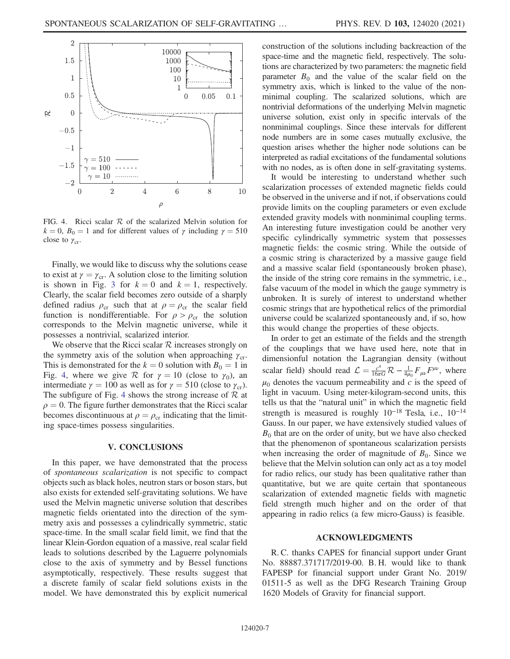<span id="page-6-1"></span>

FIG. 4. Ricci scalar  $R$  of the scalarized Melvin solution for  $k = 0$ ,  $B_0 = 1$  and for different values of  $\gamma$  including  $\gamma = 510$ close to  $\gamma_{cr}$ .

Finally, we would like to discuss why the solutions cease to exist at  $\gamma = \gamma_{cr}$ . A solution close to the limiting solution is shown in Fig. [3](#page-5-1) for  $k = 0$  and  $k = 1$ , respectively. Clearly, the scalar field becomes zero outside of a sharply defined radius  $\rho_{cr}$  such that at  $\rho = \rho_{cr}$  the scalar field function is nondifferentiable. For  $\rho > \rho_{cr}$  the solution corresponds to the Melvin magnetic universe, while it possesses a nontrivial, scalarized interior.

We observe that the Ricci scalar  $R$  increases strongly on the symmetry axis of the solution when approaching  $\gamma_{cr}$ . This is demonstrated for the  $k = 0$  solution with  $B_0 = 1$  in Fig. [4](#page-6-1), where we give R for  $\gamma = 10$  (close to  $\gamma_0$ ), an intermediate  $\gamma = 100$  as well as for  $\gamma = 510$  (close to  $\gamma_{cr}$ ). The subfigure of Fig. [4](#page-6-1) shows the strong increase of  $R$  at  $\rho = 0$ . The figure further demonstrates that the Ricci scalar becomes discontinuous at  $\rho = \rho_{cr}$  indicating that the limiting space-times possess singularities.

### V. CONCLUSIONS

<span id="page-6-0"></span>In this paper, we have demonstrated that the process of spontaneous scalarization is not specific to compact objects such as black holes, neutron stars or boson stars, but also exists for extended self-gravitating solutions. We have used the Melvin magnetic universe solution that describes magnetic fields orientated into the direction of the symmetry axis and possesses a cylindrically symmetric, static space-time. In the small scalar field limit, we find that the linear Klein-Gordon equation of a massive, real scalar field leads to solutions described by the Laguerre polynomials close to the axis of symmetry and by Bessel functions asymptotically, respectively. These results suggest that a discrete family of scalar field solutions exists in the model. We have demonstrated this by explicit numerical construction of the solutions including backreaction of the space-time and the magnetic field, respectively. The solutions are characterized by two parameters: the magnetic field parameter  $B_0$  and the value of the scalar field on the symmetry axis, which is linked to the value of the nonminimal coupling. The scalarized solutions, which are nontrivial deformations of the underlying Melvin magnetic universe solution, exist only in specific intervals of the nonminimal couplings. Since these intervals for different node numbers are in some cases mutually exclusive, the question arises whether the higher node solutions can be interpreted as radial excitations of the fundamental solutions with no nodes, as is often done in self-gravitating systems.

It would be interesting to understand whether such scalarization processes of extended magnetic fields could be observed in the universe and if not, if observations could provide limits on the coupling parameters or even exclude extended gravity models with nonminimal coupling terms. An interesting future investigation could be another very specific cylindrically symmetric system that possesses magnetic fields: the cosmic string. While the outside of a cosmic string is characterized by a massive gauge field and a massive scalar field (spontaneously broken phase), the inside of the string core remains in the symmetric, i.e., false vacuum of the model in which the gauge symmetry is unbroken. It is surely of interest to understand whether cosmic strings that are hypothetical relics of the primordial universe could be scalarized spontaneously and, if so, how this would change the properties of these objects.

In order to get an estimate of the fields and the strength of the couplings that we have used here, note that in dimensionful notation the Lagrangian density (without scalar field) should read  $\mathcal{L} = \frac{c^4}{16\pi G} \mathcal{R} - \frac{1}{4\mu_0} F_{\mu\nu} F^{\mu\nu}$ , where  $\mu_0$  denotes the vacuum permeability and c is the speed of light in vacuum. Using meter-kilogram-second units, this tells us that the "natural unit" in which the magnetic field strength is measured is roughly  $10^{-18}$  Tesla, i.e.,  $10^{-14}$ Gauss. In our paper, we have extensively studied values of  $B_0$  that are on the order of unity, but we have also checked that the phenomenon of spontaneous scalarization persists when increasing the order of magnitude of  $B_0$ . Since we believe that the Melvin solution can only act as a toy model for radio relics, our study has been qualitative rather than quantitative, but we are quite certain that spontaneous scalarization of extended magnetic fields with magnetic field strength much higher and on the order of that appearing in radio relics (a few micro-Gauss) is feasible.

### ACKNOWLEDGMENTS

R. C. thanks CAPES for financial support under Grant No. 88887.371717/2019-00. B. H. would like to thank FAPESP for financial support under Grant No. 2019/ 01511-5 as well as the DFG Research Training Group 1620 Models of Gravity for financial support.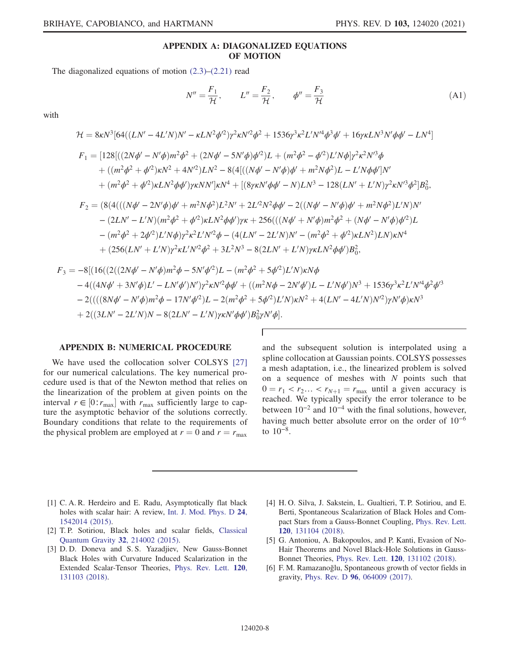## APPENDIX A: DIAGONALIZED EQUATIONS OF MOTION

<span id="page-7-4"></span>The diagonalized equations of motion [\(2.3\)](#page-1-1)–[\(2.21\)](#page-3-4) read

$$
N'' = \frac{F_1}{\mathcal{H}}, \qquad L'' = \frac{F_2}{\mathcal{H}}, \qquad \phi'' = \frac{F_3}{\mathcal{H}}
$$
(A1)

with

$$
\mathcal{H} = 8\kappa N^3 [64((LN' - 4L'N)N' - \kappa L N^2 \phi^2) \gamma^2 \kappa N'^2 \phi^2 + 1536 \gamma^3 \kappa^2 L' N'^4 \phi^3 \phi' + 16 \gamma \kappa L N^3 N' \phi \phi' - LN^4]
$$
  
\n
$$
F_1 = [128[((2N\phi' - N'\phi)m^2 \phi^2 + (2N\phi' - 5N'\phi)\phi^2)L + (m^2\phi^2 - \phi'^2)L' N\phi]\gamma^2 \kappa^2 N'^3 \phi
$$
  
\n
$$
+ ((m^2\phi^2 + \phi'^2)\kappa N^2 + 4N'^2)LN^2 - 8(4[((N\phi' - N'\phi)\phi' + m^2N\phi^2)L - L' N\phi \phi']N'
$$
  
\n
$$
+ (m^2\phi^2 + \phi'^2)\kappa L N^2 \phi \phi') \gamma \kappa N N' |\kappa N^4 + [(8\gamma \kappa N' \phi \phi' - N)LN^3 - 128(LN' + L' N)\gamma^2 \kappa N'^3 \phi^2]B_0^2,
$$
  
\n
$$
F_2 = (8(4(((N\phi' - 2N'\phi)\phi' + m^2N\phi^2)L^2 N' + 2L'^2N^2\phi \phi' - 2((N\phi' - N'\phi)\phi' + m^2N\phi^2)L' N)N'
$$
  
\n
$$
- (2LN' - L' N)(m^2\phi^2 + \phi'^2)\kappa L N^2 \phi \phi') \gamma \kappa + 256(((N\phi' + N'\phi)m^2\phi^2 + (N\phi' - N'\phi)\phi'^2)L
$$
  
\n
$$
- (m^2\phi^2 + 2\phi'^2)L' N\phi) \gamma^2 \kappa^2 L' N'^2 \phi - (4(LN' - 2L' N)N' - (m^2\phi^2 + \phi'^2)\kappa L N^2)LN \kappa N^4
$$
  
\n
$$
+ (256(LN' + L' N)\gamma^2 \kappa L' N'^2 \phi^2 + 3L^2N^3 - 8(2LN' + L' N)\gamma \kappa L N^2 \phi \phi')B_0^2,
$$

$$
F_3 = -8[(16((2((2N\phi' - N'\phi)m^2\phi - 5N'\phi'^2)L - (m^2\phi^2 + 5\phi'^2)L'N)\kappa N\phi -4((4N\phi' + 3N'\phi)L' - LN'\phi')N'\gamma^2\kappa N'^2\phi\phi' + ((m^2N\phi - 2N'\phi')L - L'N\phi')N^3 + 1536\gamma^3\kappa^2L'N'^4\phi^2\phi'^3 -2(((8N\phi' - N'\phi)m^2\phi - 17N'\phi'^2)L - 2(m^2\phi^2 + 5\phi'^2)L'N)\kappa N^2 + 4(LN' - 4L'N)N'^2)\gamma N'\phi)\kappa N^3 + 2((3LN' - 2L'N)N - 8(2LN' - L'N)\gamma\kappa N'\phi\phi')B_0^2\gamma N'\phi].
$$

### <span id="page-7-3"></span>APPENDIX B: NUMERICAL PROCEDURE

We have used the collocation solver COLSYS [\[27\]](#page-8-14) for our numerical calculations. The key numerical procedure used is that of the Newton method that relies on the linearization of the problem at given points on the interval  $r \in [0:r_{\text{max}}]$  with  $r_{\text{max}}$  sufficiently large to capture the asymptotic behavior of the solutions correctly. Boundary conditions that relate to the requirements of the physical problem are employed at  $r = 0$  and  $r = r_{\text{max}}$ 

T

and the subsequent solution is interpolated using a spline collocation at Gaussian points. COLSYS possesses a mesh adaptation, i.e., the linearized problem is solved on a sequence of meshes with  $N$  points such that  $0 = r_1 < r_2 \ldots < r_{N+1} = r_{\text{max}}$  until a given accuracy is reached. We typically specify the error tolerance to be between  $10^{-2}$  and  $10^{-4}$  with the final solutions, however, having much better absolute error on the order of 10<sup>−</sup><sup>6</sup> to 10<sup>−</sup><sup>8</sup>.

- <span id="page-7-0"></span>[1] C. A. R. Herdeiro and E. Radu, Asymptotically flat black holes with scalar hair: A review, [Int. J. Mod. Phys. D](https://doi.org/10.1142/S0218271815420146) 24, [1542014 \(2015\).](https://doi.org/10.1142/S0218271815420146)
- [2] T. P. Sotiriou, Black holes and scalar fields, [Classical](https://doi.org/10.1088/0264-9381/32/21/214002) [Quantum Gravity](https://doi.org/10.1088/0264-9381/32/21/214002) 32, 214002 (2015).
- <span id="page-7-1"></span>[3] D. D. Doneva and S. S. Yazadjiev, New Gauss-Bonnet Black Holes with Curvature Induced Scalarization in the Extended Scalar-Tensor Theories, [Phys. Rev. Lett.](https://doi.org/10.1103/PhysRevLett.120.131103) 120, [131103 \(2018\).](https://doi.org/10.1103/PhysRevLett.120.131103)
- [4] H. O. Silva, J. Sakstein, L. Gualtieri, T. P. Sotiriou, and E. Berti, Spontaneous Scalarization of Black Holes and Compact Stars from a Gauss-Bonnet Coupling, [Phys. Rev. Lett.](https://doi.org/10.1103/PhysRevLett.120.131104) 120[, 131104 \(2018\).](https://doi.org/10.1103/PhysRevLett.120.131104)
- [5] G. Antoniou, A. Bakopoulos, and P. Kanti, Evasion of No-Hair Theorems and Novel Black-Hole Solutions in Gauss-Bonnet Theories, Phys. Rev. Lett. 120[, 131102 \(2018\)](https://doi.org/10.1103/PhysRevLett.120.131102).
- <span id="page-7-2"></span>[6] F. M. Ramazanoğlu, Spontaneous growth of vector fields in gravity, Phys. Rev. D 96[, 064009 \(2017\)](https://doi.org/10.1103/PhysRevD.96.064009).